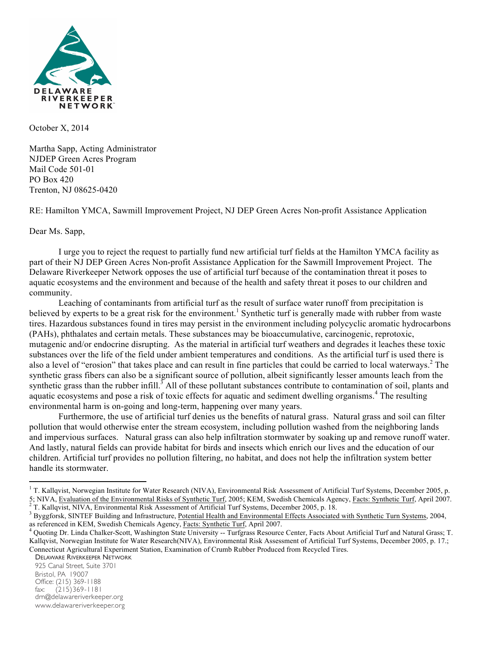

October X, 2014

Martha Sapp, Acting Administrator NJDEP Green Acres Program Mail Code 501-01 PO Box 420 Trenton, NJ 08625-0420

RE: Hamilton YMCA, Sawmill Improvement Project, NJ DEP Green Acres Non-profit Assistance Application

Dear Ms. Sapp,

I urge you to reject the request to partially fund new artificial turf fields at the Hamilton YMCA facility as part of their NJ DEP Green Acres Non-profit Assistance Application for the Sawmill Improvement Project. The Delaware Riverkeeper Network opposes the use of artificial turf because of the contamination threat it poses to aquatic ecosystems and the environment and because of the health and safety threat it poses to our children and community.

Leaching of contaminants from artificial turf as the result of surface water runoff from precipitation is believed by experts to be a great risk for the environment.<sup>1</sup> Synthetic turf is generally made with rubber from waste tires. Hazardous substances found in tires may persist in the environment including polycyclic aromatic hydrocarbons (PAHs), phthalates and certain metals. These substances may be bioaccumulative, carcinogenic, reprotoxic, mutagenic and/or endocrine disrupting. As the material in artificial turf weathers and degrades it leaches these toxic substances over the life of the field under ambient temperatures and conditions. As the artificial turf is used there is also a level of "erosion" that takes place and can result in fine particles that could be carried to local waterways.<sup>2</sup> The synthetic grass fibers can also be a significant source of pollution, albeit significantly lesser amounts leach from the synthetic grass than the rubber infill.<sup>3</sup> All of these pollutant substances contribute to contamination of soil, plants and aquatic ecosystems and pose a risk of toxic effects for aquatic and sediment dwelling organisms.<sup>4</sup> The resulting environmental harm is on-going and long-term, happening over many years.

Furthermore, the use of artificial turf denies us the benefits of natural grass. Natural grass and soil can filter pollution that would otherwise enter the stream ecosystem, including pollution washed from the neighboring lands and impervious surfaces. Natural grass can also help infiltration stormwater by soaking up and remove runoff water. And lastly, natural fields can provide habitat for birds and insects which enrich our lives and the education of our children. Artificial turf provides no pollution filtering, no habitat, and does not help the infiltration system better handle its stormwater.

 $\overline{a}$ 

 $1$  T. Kallqvist, Norwegian Institute for Water Research (NIVA), Environmental Risk Assessment of Artificial Turf Systems, December 2005, p. 5; NIVA, Evaluation of the Environmental Risks of Synthetic Turf, 2005; KEM, Swedish Chemicals Agency, Facts: Synthetic Turf, April 2007.<br><sup>2</sup> T. Kallqvist, NIVA, Environmental Risk Assessment of Artificial Turf Systems, De

<sup>&</sup>lt;sup>3</sup> Byggforsk, SINTEF Building and Infrastructure, <u>Potential Health and Environmental Effects Associated with Synthetic Turn Systems</u>, 2004, as referenced in KEM, Swedish Chemicals Agency, Facts: Synthetic Turf, April 200

<sup>&</sup>lt;sup>4</sup> Quoting Dr. Linda Chalker-Scott, Washington State University -- Turfgrass Resource Center, Facts About Artificial Turf and Natural Grass; T. Kallqvist, Norwegian Institute for Water Research(NIVA), Environmental Risk Assessment of Artificial Turf Systems, December 2005, p. 17.; Connecticut Agricultural Experiment Station, Examination of Crumb Rubber Produced from Recycled Tires.

DELAWARE RIVERKEEPER NETWORK

<sup>925</sup> Canal Street, Suite 3701 Bristol, PA 19007 Office: (215) 369-1188<br>fax: (215) 369-1181  $(215)369 - 1181$ drn@delawareriverkeeper.org www.delawareriverkeeper.org